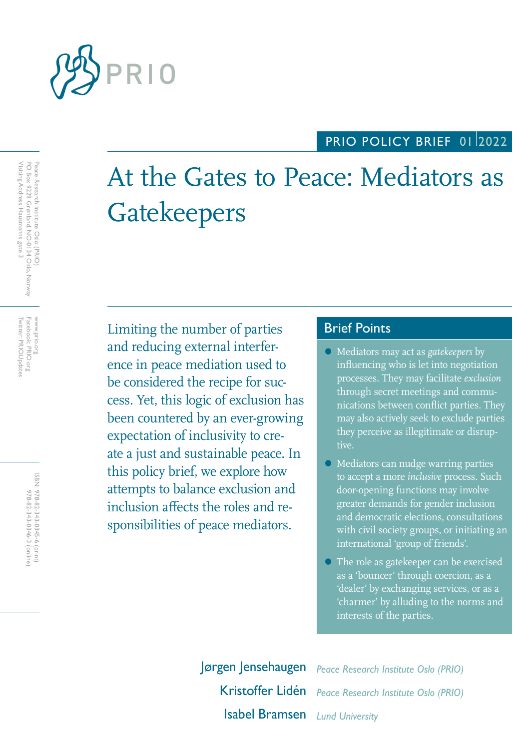

## PRIO POLICY BRIEF 0112022

# At the Gates to Peace: Mediators as **Gatekeepers**

Limiting the number of parties Brief Points and reducing external interference in peace mediation used to be considered the recipe for success. Yet, this logic of exclusion has been countered by an ever-growing expectation of inclusivity to create a just and sustainable peace. In this policy brief, we explore how attempts to balance exclusion and inclusion affects the roles and responsibilities of peace mediators.

- Mediators may act as *gatekeepers* by influencing who is let into negotiation processes. They may facilitate *exclusion* through secret meetings and communications between conflict parties. They may also actively seek to exclude parties they perceive as illegitimate or disruptive.
- Mediators can nudge warring parties to accept a more *inclusive* process. Such door-opening functions may involve greater demands for gender inclusion and democratic elections, consultations with civil society groups, or initiating an international 'group of friends'.
- The role as gatekeeper can be exercised as a 'bouncer' through coercion, as a 'dealer' by exchanging services, or as a 'charmer' by alluding to the norms and interests of the parties.

Jørgen Jensehaugen *Peace Research Institute Oslo (PRIO)* Kristoffer Lidén *Peace Research Institute Oslo (PRIO)* Isabel Bramsen *Lund University*

Twitter: PRIOUpdates Facebook: PRIO.org Twitter: PRIOUpdates Facebook: PRIO.org www.prio.org www.prio.org

> ISBN: 978-82-343-0345-6 (print) 978-82-343-0346-3 (online) 978-82-343-0346-3 (online) 978-82-343-0345-6 (print)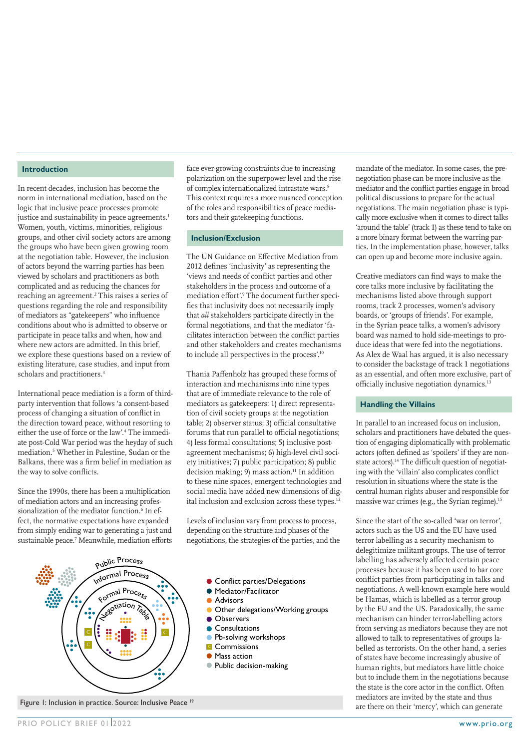#### **Introduction**

In recent decades, inclusion has become the norm in international mediation, based on the logic that inclusive peace processes promote justice and sustainability in peace agreements.<sup>1</sup> Women, youth, victims, minorities, religious groups, and other civil society actors are among the groups who have been given growing room at the negotiation table. However, the inclusion of actors beyond the warring parties has been viewed by scholars and practitioners as both complicated and as reducing the chances for reaching an agreement.2 This raises a series of questions regarding the role and responsibility of mediators as "gatekeepers" who influence conditions about who is admitted to observe or participate in peace talks and when, how and where new actors are admitted. In this brief, we explore these questions based on a review of existing literature, case studies, and input from scholars and practitioners.<sup>3</sup>

International peace mediation is a form of thirdparty intervention that follows 'a consent-based process of changing a situation of conflict in the direction toward peace, without resorting to either the use of force or the law'.4 The immediate post-Cold War period was the heyday of such mediation.5 Whether in Palestine, Sudan or the Balkans, there was a firm belief in mediation as the way to solve conflicts.

Since the 1990s, there has been a multiplication of mediation actors and an increasing professionalization of the mediator function.<sup>6</sup> In effect, the normative expectations have expanded from simply ending war to generating a just and sustainable peace.<sup>7</sup> Meanwhile, mediation efforts

face ever-growing constraints due to increasing polarization on the superpower level and the rise of complex internationalized intrastate wars.<sup>8</sup> This context requires a more nuanced conception of the roles and responsibilities of peace mediators and their gatekeeping functions.

#### **Inclusion/Exclusion**

The UN Guidance on Effective Mediation from 2012 defines 'inclusivity' as representing the 'views and needs of conflict parties and other stakeholders in the process and outcome of a mediation effort'.<sup>9</sup> The document further specifies that inclusivity does not necessarily imply that *all* stakeholders participate directly in the formal negotiations, and that the mediator 'facilitates interaction between the conflict parties and other stakeholders and creates mechanisms to include all perspectives in the process'.10

Thania Paffenholz has grouped these forms of interaction and mechanisms into nine types that are of immediate relevance to the role of mediators as gatekeepers: 1) direct representation of civil society groups at the negotiation table; 2) observer status; 3) official consultative forums that run parallel to official negotiations; 4) less formal consultations; 5) inclusive postagreement mechanisms; 6) high-level civil society initiatives; 7) public participation; 8) public decision making; 9) mass action.<sup>11</sup> In addition to these nine spaces, emergent technologies and social media have added new dimensions of digital inclusion and exclusion across these types.<sup>12</sup>

Levels of inclusion vary from process to process, depending on the structure and phases of the negotiations, the strategies of the parties, and the



**Conflict parties/Delegations** 

- Mediator/Facilitator
- **Advisors**
- Other delegations/Working groups
- **Observers**
- **Consultations**
- **Pb-solving workshops**
- **C** Commissions **Mass action**
- Public decision-making

mandate of the mediator. In some cases, the prenegotiation phase can be more inclusive as the mediator and the conflict parties engage in broad political discussions to prepare for the actual negotiations. The main negotiation phase is typically more exclusive when it comes to direct talks 'around the table' (track 1) as these tend to take on a more binary format between the warring parties. In the implementation phase, however, talks can open up and become more inclusive again.

Creative mediators can find ways to make the core talks more inclusive by facilitating the mechanisms listed above through support rooms, track 2 processes, women's advisory boards, or 'groups of friends'. For example, in the Syrian peace talks, a women's advisory board was named to hold side-meetings to produce ideas that were fed into the negotiations. As Alex de Waal has argued, it is also necessary to consider the backstage of track 1 negotiations as an essential, and often more exclusive, part of officially inclusive negotiation dynamics.<sup>13</sup>

#### **Handling the Villains**

In parallel to an increased focus on inclusion, scholars and practitioners have debated the question of engaging diplomatically with problematic actors (often defined as 'spoilers' if they are nonstate actors).<sup>14</sup> The difficult question of negotiating with the 'villain' also complicates conflict resolution in situations where the state is the central human rights abuser and responsible for massive war crimes (e.g., the Syrian regime).<sup>15</sup>

Since the start of the so-called 'war on terror', actors such as the US and the EU have used terror labelling as a security mechanism to delegitimize militant groups. The use of terror labelling has adversely affected certain peace processes because it has been used to bar core conflict parties from participating in talks and negotiations. A well-known example here would be Hamas, which is labelled as a terror group by the EU and the US. Paradoxically, the same mechanism can hinder terror-labelling actors from serving as mediators because they are not allowed to talk to representatives of groups labelled as terrorists. On the other hand, a series of states have become increasingly abusive of human rights, but mediators have little choice but to include them in the negotiations because the state is the core actor in the conflict. Often mediators are invited by the state and thus Figure 1: Inclusion in practice. Source: Inclusive Peace <sup>19</sup> are there on their 'mercy', which can generate Figure 1: Inclusion in practice. Source: Inclusive Peace <sup>19</sup> are there on their 'mercy', which can generate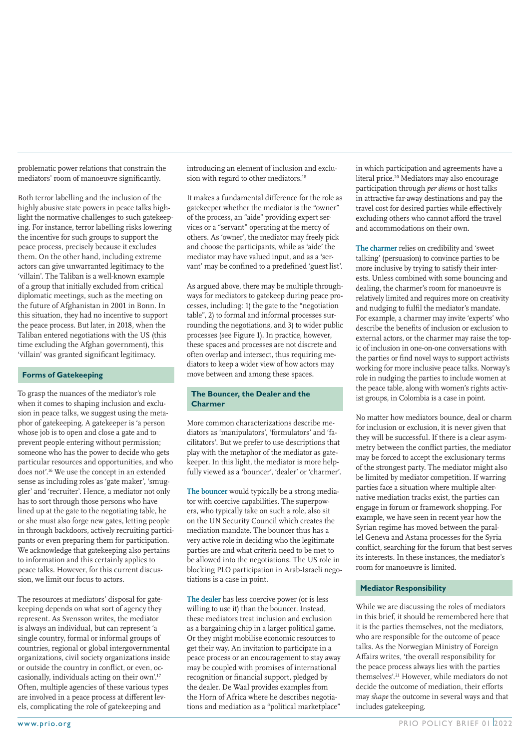problematic power relations that constrain the mediators' room of manoeuvre significantly.

Both terror labelling and the inclusion of the highly abusive state powers in peace talks highlight the normative challenges to such gatekeeping. For instance, terror labelling risks lowering the incentive for such groups to support the peace process, precisely because it excludes them. On the other hand, including extreme actors can give unwarranted legitimacy to the 'villain'. The Taliban is a well-known example of a group that initially excluded from critical diplomatic meetings, such as the meeting on the future of Afghanistan in 2001 in Bonn. In this situation, they had no incentive to support the peace process. But later, in 2018, when the Taliban entered negotiations with the US (this time excluding the Afghan government), this 'villain' was granted significant legitimacy.

#### **Forms of Gatekeeping**

To grasp the nuances of the mediator's role when it comes to shaping inclusion and exclusion in peace talks, we suggest using the metaphor of gatekeeping. A gatekeeper is 'a person whose job is to open and close a gate and to prevent people entering without permission; someone who has the power to decide who gets particular resources and opportunities, and who does not'.16 We use the concept in an extended sense as including roles as 'gate maker', 'smuggler' and 'recruiter'. Hence, a mediator not only has to sort through those persons who have lined up at the gate to the negotiating table, he or she must also forge new gates, letting people in through backdoors, actively recruiting participants or even preparing them for participation. We acknowledge that gatekeeping also pertains to information and this certainly applies to peace talks. However, for this current discussion, we limit our focus to actors.

The resources at mediators' disposal for gatekeeping depends on what sort of agency they represent. As Svensson writes, the mediator is always an individual, but can represent 'a single country, formal or informal groups of countries, regional or global intergovernmental organizations, civil society organizations inside or outside the country in conflict, or even, occasionally, individuals acting on their own'.17 Often, multiple agencies of these various types are involved in a peace process at different levels, complicating the role of gatekeeping and

introducing an element of inclusion and exclusion with regard to other mediators.<sup>18</sup>

It makes a fundamental difference for the role as gatekeeper whether the mediator is the "owner" of the process, an "aide" providing expert services or a "servant" operating at the mercy of others. As 'owner', the mediator may freely pick and choose the participants, while as 'aide' the mediator may have valued input, and as a 'servant' may be confined to a predefined 'guest list'.

As argued above, there may be multiple throughways for mediators to gatekeep during peace processes, including: 1) the gate to the "negotiation table", 2) to formal and informal processes surrounding the negotiations, and 3) to wider public processes (see Figure 1). In practice, however, these spaces and processes are not discrete and often overlap and intersect, thus requiring mediators to keep a wider view of how actors may move between and among these spaces.

#### **The Bouncer, the Dealer and the Charmer**

More common characterizations describe mediators as 'manipulators', 'formulators' and 'facilitators'. But we prefer to use descriptions that play with the metaphor of the mediator as gatekeeper. In this light, the mediator is more helpfully viewed as a 'bouncer', 'dealer' or 'charmer'.

**The bouncer** would typically be a strong mediator with coercive capabilities. The superpowers, who typically take on such a role, also sit on the UN Security Council which creates the mediation mandate. The bouncer thus has a very active role in deciding who the legitimate parties are and what criteria need to be met to be allowed into the negotiations. The US role in blocking PLO participation in Arab-Israeli negotiations is a case in point.

**The dealer** has less coercive power (or is less willing to use it) than the bouncer. Instead, these mediators treat inclusion and exclusion as a bargaining chip in a larger political game. Or they might mobilise economic resources to get their way. An invitation to participate in a peace process or an encouragement to stay away may be coupled with promises of international recognition or financial support, pledged by the dealer. De Waal provides examples from the Horn of Africa where he describes negotiations and mediation as a "political marketplace"

in which participation and agreements have a literal price.20 Mediators may also encourage participation through *per diems* or host talks in attractive far-away destinations and pay the travel cost for desired parties while effectively excluding others who cannot afford the travel and accommodations on their own.

**The charmer** relies on credibility and 'sweet talking' (persuasion) to convince parties to be more inclusive by trying to satisfy their interests. Unless combined with some bouncing and dealing, the charmer's room for manoeuvre is relatively limited and requires more on creativity and nudging to fulfil the mediator's mandate. For example, a charmer may invite 'experts' who describe the benefits of inclusion or exclusion to external actors, or the charmer may raise the topic of inclusion in one-on-one conversations with the parties or find novel ways to support activists working for more inclusive peace talks. Norway's role in nudging the parties to include women at the peace table, along with women's rights activist groups, in Colombia is a case in point.

No matter how mediators bounce, deal or charm for inclusion or exclusion, it is never given that they will be successful. If there is a clear asymmetry between the conflict parties, the mediator may be forced to accept the exclusionary terms of the strongest party. The mediator might also be limited by mediator competition. If warring parties face a situation where multiple alternative mediation tracks exist, the parties can engage in forum or framework shopping. For example, we have seen in recent year how the Syrian regime has moved between the parallel Geneva and Astana processes for the Syria conflict, searching for the forum that best serves its interests. In these instances, the mediator's room for manoeuvre is limited.

#### **Mediator Responsibility**

While we are discussing the roles of mediators in this brief, it should be remembered here that it is the parties themselves, not the mediators, who are responsible for the outcome of peace talks. As the Norwegian Ministry of Foreign Affairs writes, 'the overall responsibility for the peace process always lies with the parties themselves'.21 However, while mediators do not decide the outcome of mediation, their efforts may *shape* the outcome in several ways and that includes gatekeeping.